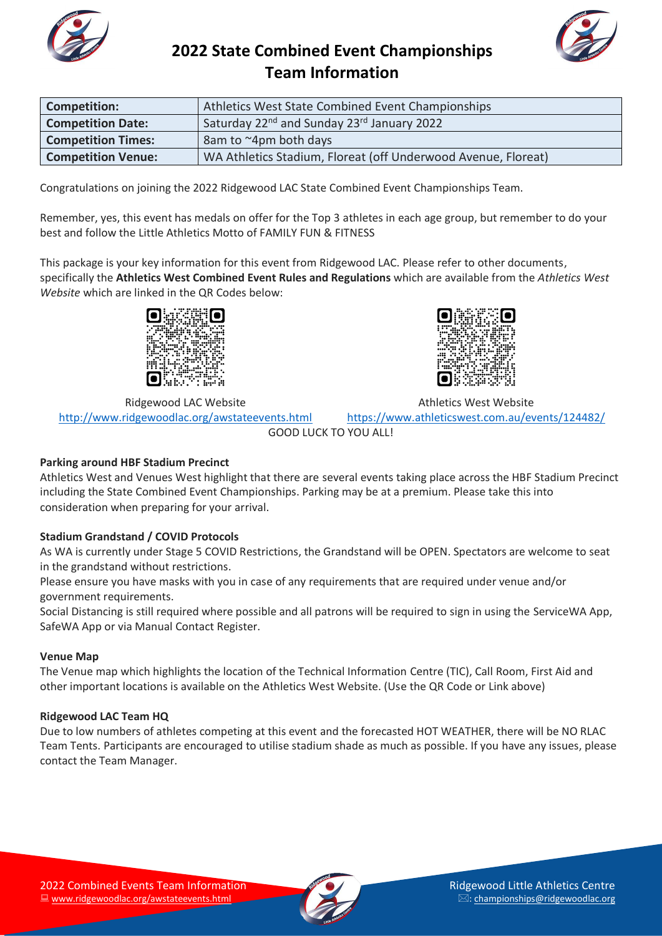



| Athletics West State Combined Event Championships<br><b>Competition:</b> |                                                                    |
|--------------------------------------------------------------------------|--------------------------------------------------------------------|
| <b>Competition Date:</b>                                                 | Saturday 22 <sup>nd</sup> and Sunday 23 <sup>rd</sup> January 2022 |
| <b>Competition Times:</b>                                                | 8am to ~4pm both days                                              |
| <b>Competition Venue:</b>                                                | WA Athletics Stadium, Floreat (off Underwood Avenue, Floreat)      |

Congratulations on joining the 2022 Ridgewood LAC State Combined Event Championships Team.

Remember, yes, this event has medals on offer for the Top 3 athletes in each age group, but remember to do your best and follow the Little Athletics Motto of FAMILY FUN & FITNESS

This package is your key information for this event from Ridgewood LAC. Please refer to other documents, specifically the **Athletics West Combined Event Rules and Regulations** which are available from the *Athletics West Website* which are linked in the QR Codes below:



Ridgewood LAC Website <http://www.ridgewoodlac.org/awstateevents.html>



Athletics West Website

<https://www.athleticswest.com.au/events/124482/>

GOOD LUCK TO YOU ALL!

#### **Parking around HBF Stadium Precinct**

Athletics West and Venues West highlight that there are several events taking place across the HBF Stadium Precinct including the State Combined Event Championships. Parking may be at a premium. Please take this into consideration when preparing for your arrival.

#### **Stadium Grandstand / COVID Protocols**

As WA is currently under Stage 5 COVID Restrictions, the Grandstand will be OPEN. Spectators are welcome to seat in the grandstand without restrictions.

Please ensure you have masks with you in case of any requirements that are required under venue and/or government requirements.

Social Distancing is still required where possible and all patrons will be required to sign in using the ServiceWA App, SafeWA App or via Manual Contact Register.

#### **Venue Map**

The Venue map which highlights the location of the Technical Information Centre (TIC), Call Room, First Aid and other important locations is available on the Athletics West Website. (Use the QR Code or Link above)

#### **Ridgewood LAC Team HQ**

Due to low numbers of athletes competing at this event and the forecasted HOT WEATHER, there will be NO RLAC Team Tents. Participants are encouraged to utilise stadium shade as much as possible. If you have any issues, please contact the Team Manager.

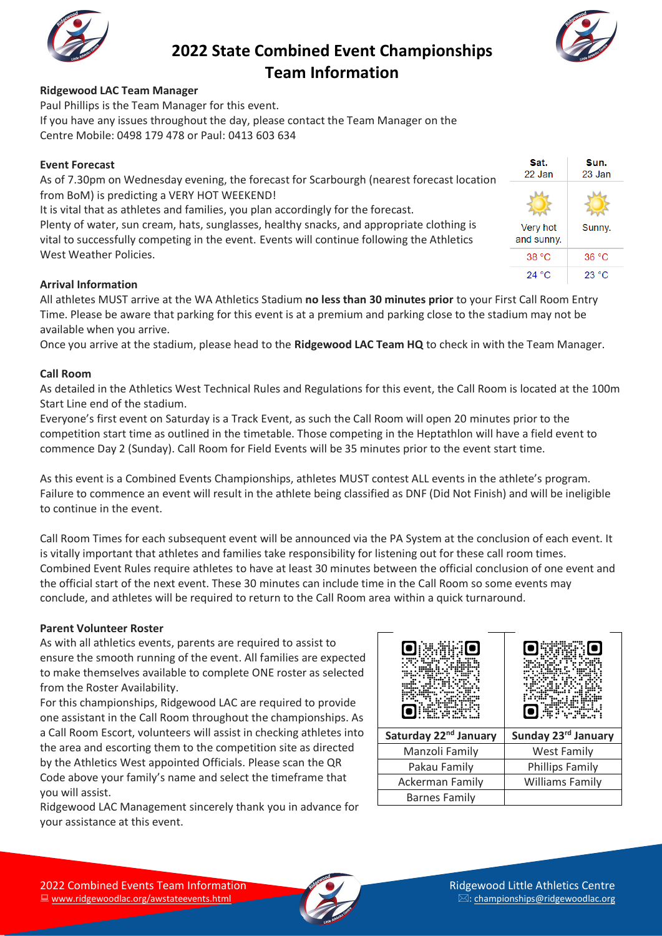



#### **Ridgewood LAC Team Manager**

Paul Phillips is the Team Manager for this event. If you have any issues throughout the day, please contact the Team Manager on the Centre Mobile: 0498 179 478 or Paul: 0413 603 634

#### **Event Forecast**

As of 7.30pm on Wednesday evening, the forecast for Scarbourgh (nearest forecast location from BoM) is predicting a VERY HOT WEEKEND!

It is vital that as athletes and families, you plan accordingly for the forecast.

Plenty of water, sun cream, hats, sunglasses, healthy snacks, and appropriate clothing is vital to successfully competing in the event. Events will continue following the Athletics West Weather Policies.

|   | Sat.<br>22 Jan         | Sun.<br>23 Jan |
|---|------------------------|----------------|
| Π |                        |                |
|   | Very hot<br>and sunny. | Sunny.         |
|   | 38 °C                  | 36 °C          |
|   | 24 °C                  | 23 °C          |

#### **Arrival Information**

All athletes MUST arrive at the WA Athletics Stadium **no less than 30 minutes prior** to your First Call Room Entry Time. Please be aware that parking for this event is at a premium and parking close to the stadium may not be available when you arrive.

Once you arrive at the stadium, please head to the **Ridgewood LAC Team HQ** to check in with the Team Manager.

#### **Call Room**

As detailed in the Athletics West Technical Rules and Regulations for this event, the Call Room is located at the 100m Start Line end of the stadium.

Everyone's first event on Saturday is a Track Event, as such the Call Room will open 20 minutes prior to the competition start time as outlined in the timetable. Those competing in the Heptathlon will have a field event to commence Day 2 (Sunday). Call Room for Field Events will be 35 minutes prior to the event start time.

As this event is a Combined Events Championships, athletes MUST contest ALL events in the athlete's program. Failure to commence an event will result in the athlete being classified as DNF (Did Not Finish) and will be ineligible to continue in the event.

Call Room Times for each subsequent event will be announced via the PA System at the conclusion of each event. It is vitally important that athletes and families take responsibility for listening out for these call room times. Combined Event Rules require athletes to have at least 30 minutes between the official conclusion of one event and the official start of the next event. These 30 minutes can include time in the Call Room so some events may conclude, and athletes will be required to return to the Call Room area within a quick turnaround.

#### **Parent Volunteer Roster**

As with all athletics events, parents are required to assist to ensure the smooth running of the event. All families are expected to make themselves available to complete ONE roster as selected from the Roster Availability.

For this championships, Ridgewood LAC are required to provide one assistant in the Call Room throughout the championships. As a Call Room Escort, volunteers will assist in checking athletes into the area and escorting them to the competition site as directed by the Athletics West appointed Officials. Please scan the QR Code above your family's name and select the timeframe that you will assist.

Ridgewood LAC Management sincerely thank you in advance for your assistance at this event.

| Saturday 22 <sup>nd</sup> January | Sunday 23rd January    |  |  |  |
|-----------------------------------|------------------------|--|--|--|
| Manzoli Family                    | West Family            |  |  |  |
| Pakau Family                      | Phillips Family        |  |  |  |
| <b>Ackerman Family</b>            | <b>Williams Family</b> |  |  |  |
| <b>Barnes Family</b>              |                        |  |  |  |

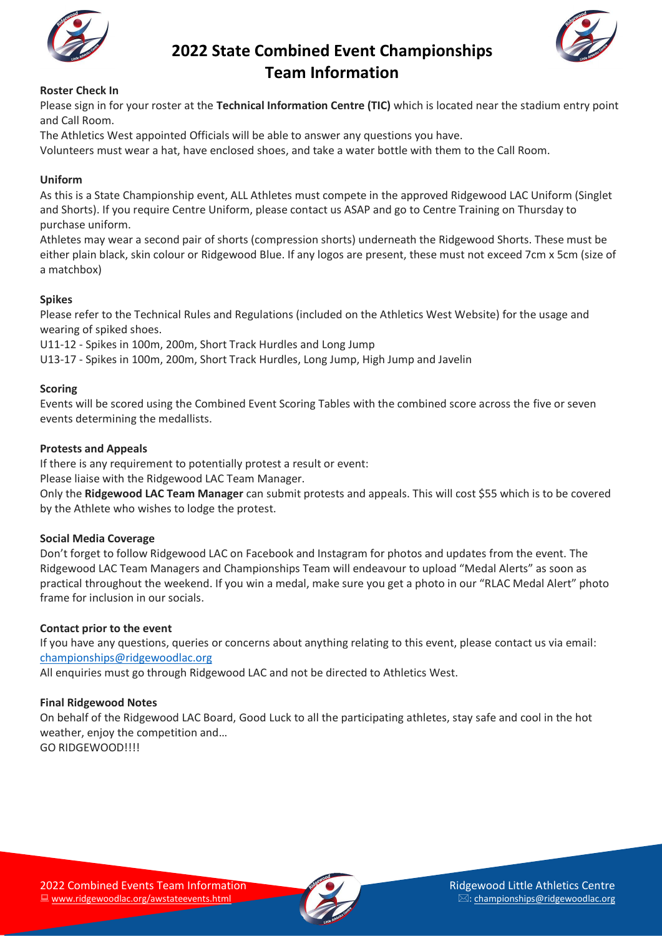



#### **Roster Check In**

Please sign in for your roster at the **Technical Information Centre (TIC)** which is located near the stadium entry point and Call Room.

The Athletics West appointed Officials will be able to answer any questions you have.

Volunteers must wear a hat, have enclosed shoes, and take a water bottle with them to the Call Room.

#### **Uniform**

As this is a State Championship event, ALL Athletes must compete in the approved Ridgewood LAC Uniform (Singlet and Shorts). If you require Centre Uniform, please contact us ASAP and go to Centre Training on Thursday to purchase uniform.

Athletes may wear a second pair of shorts (compression shorts) underneath the Ridgewood Shorts. These must be either plain black, skin colour or Ridgewood Blue. If any logos are present, these must not exceed 7cm x 5cm (size of a matchbox)

#### **Spikes**

Please refer to the Technical Rules and Regulations (included on the Athletics West Website) for the usage and wearing of spiked shoes.

U11-12 - Spikes in 100m, 200m, Short Track Hurdles and Long Jump

U13-17 - Spikes in 100m, 200m, Short Track Hurdles, Long Jump, High Jump and Javelin

#### **Scoring**

Events will be scored using the Combined Event Scoring Tables with the combined score across the five or seven events determining the medallists.

#### **Protests and Appeals**

If there is any requirement to potentially protest a result or event:

Please liaise with the Ridgewood LAC Team Manager.

Only the **Ridgewood LAC Team Manager** can submit protests and appeals. This will cost \$55 which is to be covered by the Athlete who wishes to lodge the protest.

#### **Social Media Coverage**

Don't forget to follow Ridgewood LAC on Facebook and Instagram for photos and updates from the event. The Ridgewood LAC Team Managers and Championships Team will endeavour to upload "Medal Alerts" as soon as practical throughout the weekend. If you win a medal, make sure you get a photo in our "RLAC Medal Alert" photo frame for inclusion in our socials.

#### **Contact prior to the event**

If you have any questions, queries or concerns about anything relating to this event, please contact us via email: [championships@ridgewoodlac.org](mailto:championships@ridgewoodlac.org)

All enquiries must go through Ridgewood LAC and not be directed to Athletics West.

#### **Final Ridgewood Notes**

On behalf of the Ridgewood LAC Board, Good Luck to all the participating athletes, stay safe and cool in the hot weather, enjoy the competition and… GO RIDGEWOOD!!!!